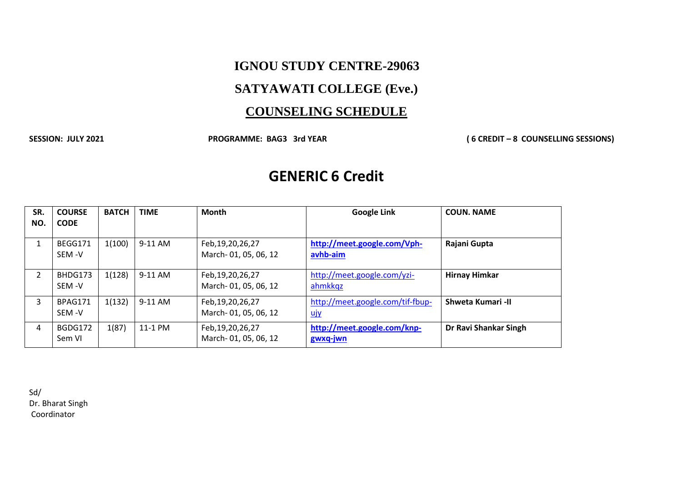### **IGNOU STUDY CENTRE-29063**

# **SATYAWATI COLLEGE (Eve.)**

# **COUNSELING SCHEDULE**

**SESSION: JULY 2021 PROGRAMME: BAG3 3rd YEAR ( 6 CREDIT – 8 COUNSELLING SESSIONS)**

# **GENERIC 6 Credit**

| SR.<br>NO.     | <b>COURSE</b><br><b>CODE</b> | <b>BATCH</b> | <b>TIME</b> | <b>Month</b>                                | <b>Google Link</b>                             | <b>COUN. NAME</b>     |
|----------------|------------------------------|--------------|-------------|---------------------------------------------|------------------------------------------------|-----------------------|
| 1              | BEGG171<br>SEM-V             | 1(100)       | 9-11 AM     | Feb, 19, 20, 26, 27<br>March-01, 05, 06, 12 | http://meet.google.com/Vph-<br>avhb-aim        | Rajani Gupta          |
| $\mathfrak{p}$ | BHDG173<br>SEM-V             | 1(128)       | 9-11 AM     | Feb, 19, 20, 26, 27<br>March-01, 05, 06, 12 | http://meet.google.com/yzi-<br>ahmkkqz         | <b>Hirnay Himkar</b>  |
| 3              | BPAG171<br>SEM-V             | 1(132)       | 9-11 AM     | Feb, 19, 20, 26, 27<br>March-01, 05, 06, 12 | http://meet.google.com/tif-fbup-<br><u>ију</u> | Shweta Kumari -II     |
| 4              | BGDG172<br>Sem VI            | 1(87)        | 11-1 PM     | Feb, 19, 20, 26, 27<br>March-01, 05, 06, 12 | http://meet.google.com/knp-<br>gwxq-jwn        | Dr Ravi Shankar Singh |

Sd/ Dr. Bharat Singh Coordinator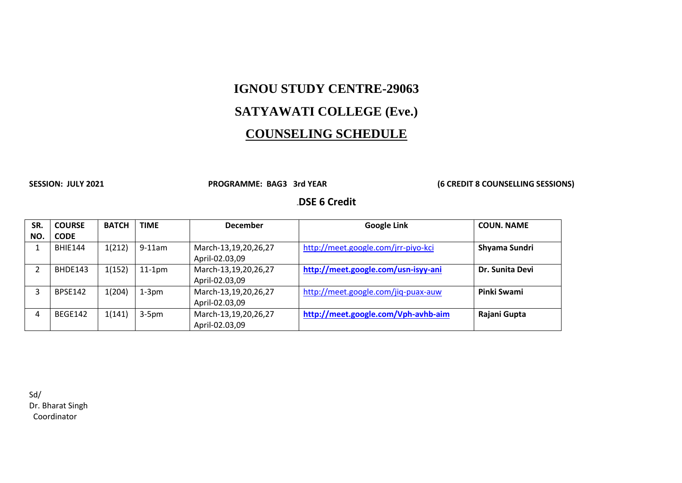# **IGNOU STUDY CENTRE-29063**

# **SATYAWATI COLLEGE (Eve.)**

# **COUNSELING SCHEDULE**

#### SESSION: JULY 2021 **PROGRAMME: BAG3 3rd YEAR** (6 CREDIT 8 COUNSELLING SESSIONS)

### **DSDSE 6 Credit**

| SR. | <b>COURSE</b>  | <b>BATCH</b> | <b>TIME</b> | <b>December</b>                        | <b>Google Link</b>                  | <b>COUN. NAME</b> |
|-----|----------------|--------------|-------------|----------------------------------------|-------------------------------------|-------------------|
| NO. | <b>CODE</b>    |              |             |                                        |                                     |                   |
|     | <b>BHIE144</b> | 1(212)       | $9-11$ am   | March-13,19,20,26,27<br>April-02.03,09 | http://meet.google.com/jrr-piyo-kci | Shyama Sundri     |
| 2   | BHDE143        | 1(152)       | $11-1pm$    | March-13,19,20,26,27<br>April-02.03,09 | http://meet.google.com/usn-isyy-ani | Dr. Sunita Devi   |
| 3   | <b>BPSE142</b> | 1(204)       | $1-3pm$     | March-13,19,20,26,27<br>April-02.03,09 | http://meet.google.com/jiq-puax-auw | Pinki Swami       |
| 4   | BEGE142        | 1(141)       | $3-5pm$     | March-13,19,20,26,27<br>April-02.03,09 | http://meet.google.com/Vph-avhb-aim | Rajani Gupta      |

Sd/ Dr. Bharat Singh Coordinator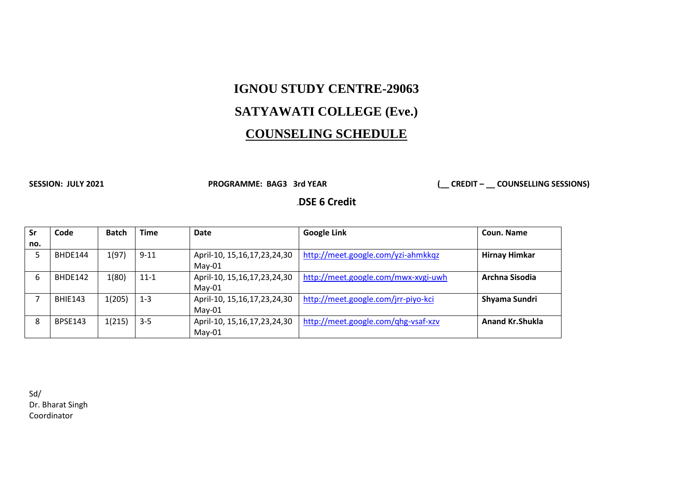# **IGNOU STUDY CENTRE-29063**

# **SATYAWATI COLLEGE (Eve.)**

# **COUNSELING SCHEDULE**

SESSION: JULY 2021 **PROGRAMME: BAG3 3rd YEAR** (CREDIT – COUNSELLING SESSIONS)

**DSDSE 6 Credit**

| Sr  | Code           | <b>Batch</b> | <b>Time</b> | Date                             | <b>Google Link</b>                  | Coun. Name              |
|-----|----------------|--------------|-------------|----------------------------------|-------------------------------------|-------------------------|
| no. |                |              |             |                                  |                                     |                         |
|     | BHDE144        | 1(97)        | $9 - 11$    | April-10, 15,16,17,23,24,30      | http://meet.google.com/yzi-ahmkkqz  | <b>Hirnay Himkar</b>    |
|     |                |              |             | $May-01$                         |                                     |                         |
| 6   | BHDE142        | 1(80)        | $11 - 1$    | April-10, 15,16,17,23,24,30      | http://meet.google.com/mwx-xvgi-uwh | Archna Sisodia          |
|     |                |              |             | $May-01$                         |                                     |                         |
|     | <b>BHIE143</b> | 1(205)       | $1 - 3$     | April-10, 15,16,17,23,24,30      | http://meet.google.com/jrr-piyo-kci | Shyama Sundri           |
|     |                |              |             | $May-01$                         |                                     |                         |
| 8   | <b>BPSE143</b> | 1(215)       | $3 - 5$     | April-10, 15, 16, 17, 23, 24, 30 | http://meet.google.com/qhg-vsaf-xzv | <b>Anand Kr. Shukla</b> |
|     |                |              |             | $May-01$                         |                                     |                         |

Sd/ Dr. Bharat Singh Coordinator